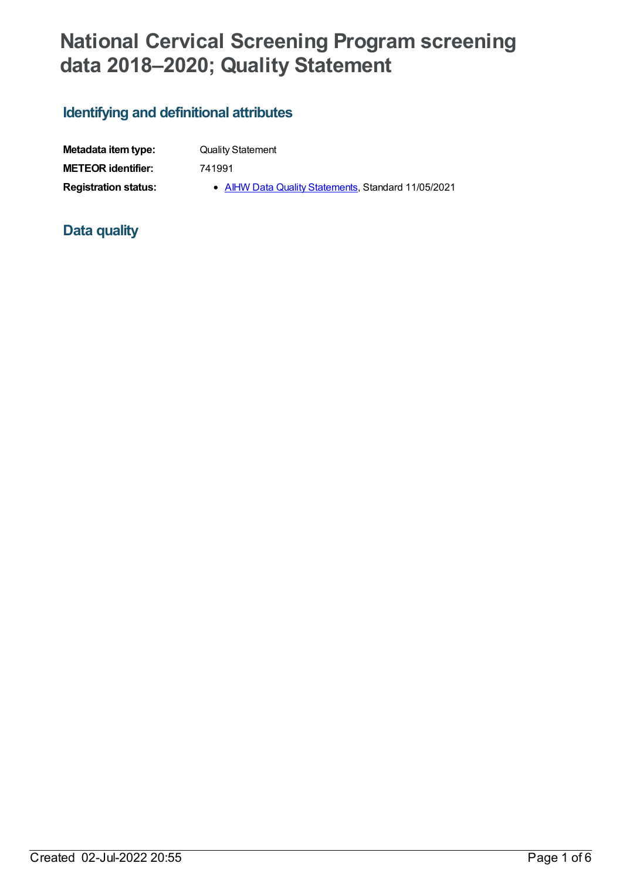# **National Cervical Screening Program screening data 2018–2020; Quality Statement**

## **Identifying and definitional attributes**

| Metadata item type:         | <b>Quality Statement</b>                            |
|-----------------------------|-----------------------------------------------------|
| <b>METEOR</b> identifier:   | 741991                                              |
| <b>Registration status:</b> | • AIHW Data Quality Statements, Standard 11/05/2021 |

## **Data quality**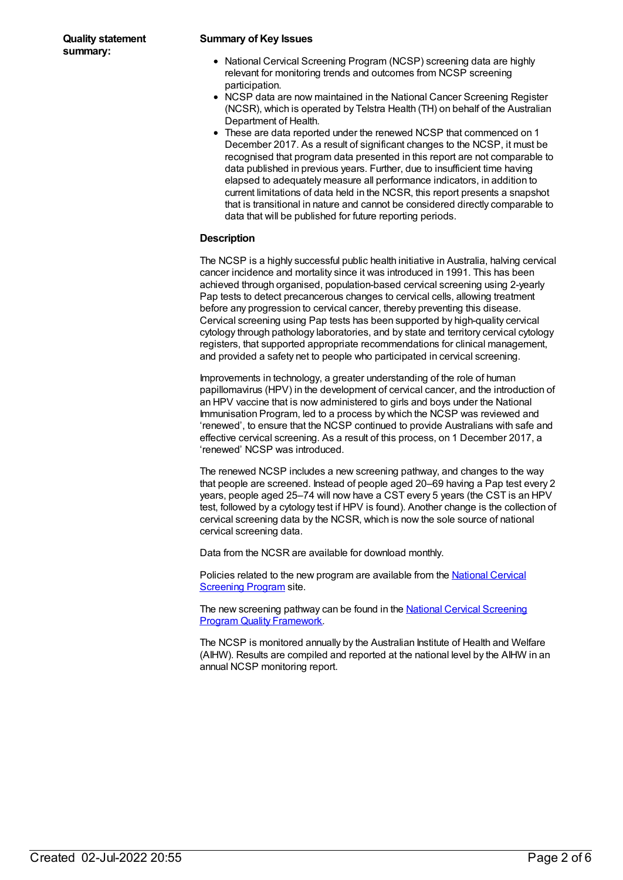#### **Summary of Key Issues**

- National Cervical Screening Program (NCSP) screening data are highly relevant for monitoring trends and outcomes from NCSP screening participation.
- NCSP data are now maintained in the National Cancer Screening Register (NCSR), which is operated by Telstra Health (TH) on behalf of the Australian Department of Health.
- These are data reported under the renewed NCSP that commenced on 1 December 2017. As a result of significant changes to the NCSP, it must be recognised that program data presented in this report are not comparable to data published in previous years. Further, due to insufficient time having elapsed to adequately measure all performance indicators, in addition to current limitations of data held in the NCSR, this report presents a snapshot that is transitional in nature and cannot be considered directly comparable to data that will be published for future reporting periods.

#### **Description**

The NCSP is a highly successful public health initiative in Australia, halving cervical cancer incidence and mortality since it was introduced in 1991. This has been achieved through organised, population-based cervical screening using 2-yearly Pap tests to detect precancerous changes to cervical cells, allowing treatment before any progression to cervical cancer, thereby preventing this disease. Cervical screening using Pap tests has been supported by high-quality cervical cytology through pathology laboratories, and by state and territory cervical cytology registers, that supported appropriate recommendations for clinical management, and provided a safety net to people who participated in cervical screening.

Improvements in technology, a greater understanding of the role of human papillomavirus (HPV) in the development of cervical cancer, and the introduction of an HPV vaccine that is now administered to girls and boys under the National Immunisation Program, led to a process by which the NCSP was reviewed and 'renewed', to ensure that the NCSP continued to provide Australians with safe and effective cervical screening. As a result of this process, on 1 December 2017, a 'renewed' NCSP was introduced.

The renewed NCSP includes a new screening pathway, and changes to the way that people are screened. Instead of people aged 20–69 having a Pap test every 2 years, people aged 25–74 will now have a CST every 5 years (the CST is an HPV test, followed by a cytology test if HPV is found). Another change is the collection of cervical screening data by the NCSR, which is now the sole source of national cervical screening data.

Data from the NCSR are available for download monthly.

Policies related to the new program are [available](http://cancerscreening.gov.au/internet/screening/publishing.nsf/Content/national-cervical-screening-program-policies) from the National Cervical **Screening Program site.** 

The new screening pathway can be found in the **National Cervical Screening** Program Quality [Framework.](http://cancerscreening.gov.au/internet/screening/publishing.nsf/Content/A96FA4D3791BDC88CA2582D50007559C/$File/NPS_NCSP_Quality_Framework_ACC.pdf)

The NCSP is monitored annually by the Australian Institute of Health and Welfare (AIHW). Results are compiled and reported at the national level by the AIHW in an annual NCSP monitoring report.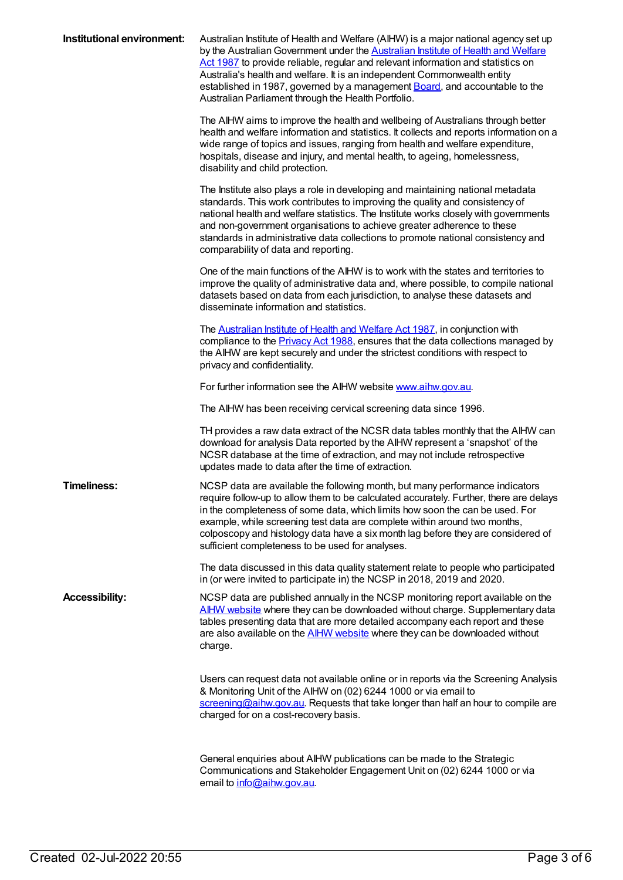| Institutional environment: | Australian Institute of Health and Welfare (AIHW) is a major national agency set up<br>by the Australian Government under the <b>Australian Institute of Health and Welfare</b><br>Act 1987 to provide reliable, regular and relevant information and statistics on<br>Australia's health and welfare. It is an independent Commonwealth entity<br>established in 1987, governed by a management <b>Board</b> , and accountable to the<br>Australian Parliament through the Health Portfolio. |
|----------------------------|-----------------------------------------------------------------------------------------------------------------------------------------------------------------------------------------------------------------------------------------------------------------------------------------------------------------------------------------------------------------------------------------------------------------------------------------------------------------------------------------------|
|                            | The AIHW aims to improve the health and wellbeing of Australians through better<br>health and welfare information and statistics. It collects and reports information on a<br>wide range of topics and issues, ranging from health and welfare expenditure,<br>hospitals, disease and injury, and mental health, to ageing, homelessness,<br>disability and child protection.                                                                                                                 |
|                            | The Institute also plays a role in developing and maintaining national metadata<br>standards. This work contributes to improving the quality and consistency of<br>national health and welfare statistics. The Institute works closely with governments<br>and non-government organisations to achieve greater adherence to these<br>standards in administrative data collections to promote national consistency and<br>comparability of data and reporting.                                 |
|                            | One of the main functions of the AIHW is to work with the states and territories to<br>improve the quality of administrative data and, where possible, to compile national<br>datasets based on data from each jurisdiction, to analyse these datasets and<br>disseminate information and statistics.                                                                                                                                                                                         |
|                            | The <b>Australian Institute of Health and Welfare Act 1987</b> , in conjunction with<br>compliance to the <b>Privacy Act 1988</b> , ensures that the data collections managed by<br>the AIHW are kept securely and under the strictest conditions with respect to<br>privacy and confidentiality.                                                                                                                                                                                             |
|                            | For further information see the AIHW website www.aihw.gov.au.                                                                                                                                                                                                                                                                                                                                                                                                                                 |
|                            | The AIHW has been receiving cervical screening data since 1996.                                                                                                                                                                                                                                                                                                                                                                                                                               |
|                            | TH provides a raw data extract of the NCSR data tables monthly that the AIHW can<br>download for analysis Data reported by the AIHW represent a 'snapshot' of the<br>NCSR database at the time of extraction, and may not include retrospective<br>updates made to data after the time of extraction.                                                                                                                                                                                         |
| <b>Timeliness:</b>         | NCSP data are available the following month, but many performance indicators<br>require follow-up to allow them to be calculated accurately. Further, there are delays<br>in the completeness of some data, which limits how soon the can be used. For<br>example, while screening test data are complete within around two months,<br>colposcopy and histology data have a six month lag before they are considered of<br>sufficient completeness to be used for analyses.                   |
|                            | The data discussed in this data quality statement relate to people who participated<br>in (or were invited to participate in) the NCSP in 2018, 2019 and 2020.                                                                                                                                                                                                                                                                                                                                |
| <b>Accessibility:</b>      | NCSP data are published annually in the NCSP monitoring report available on the<br>AIHW website where they can be downloaded without charge. Supplementary data<br>tables presenting data that are more detailed accompany each report and these<br>are also available on the <b>AIHW website</b> where they can be downloaded without<br>charge.                                                                                                                                             |
|                            | Users can request data not available online or in reports via the Screening Analysis<br>& Monitoring Unit of the AIHW on (02) 6244 1000 or via email to<br>screening@aihw.gov.au. Requests that take longer than half an hour to compile are<br>charged for on a cost-recovery basis.                                                                                                                                                                                                         |
|                            | General enquiries about AIHW publications can be made to the Strategic<br>Communications and Stakeholder Engagement Unit on (02) 6244 1000 or via<br>email to info@aihw.gov.au.                                                                                                                                                                                                                                                                                                               |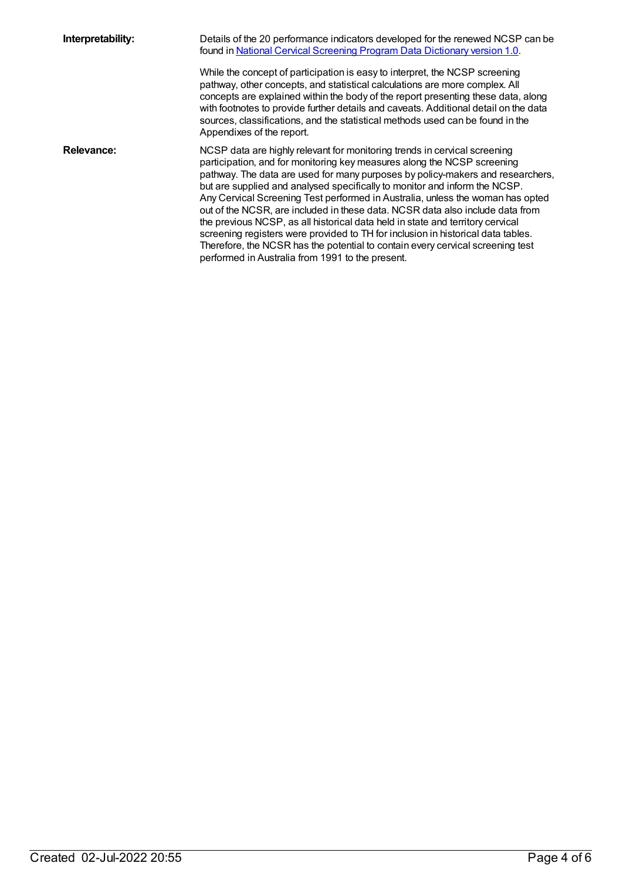**Interpretability:** Details of the 20 performance indicators developed for the renewed NCSP can be found in National Cervical Screening Program Data [Dictionary](https://www.aihw.gov.au/reports/cancer-screening/national-cervical-screening-program-data-dictionary-version-1-0/contents/table-of-contents) version 1.0.

> While the concept of participation is easy to interpret, the NCSP screening pathway, other concepts, and statistical calculations are more complex. All concepts are explained within the body of the report presenting these data, along with footnotes to provide further details and caveats. Additional detail on the data sources, classifications, and the statistical methods used can be found in the Appendixes of the report.

**Relevance:** NCSP data are highly relevant for monitoring trends in cervical screening participation, and for monitoring key measures along the NCSP screening pathway. The data are used for many purposes by policy-makers and researchers, but are supplied and analysed specifically to monitor and inform the NCSP. Any Cervical Screening Test performed in Australia, unless the woman has opted out of the NCSR, are included in these data. NCSR data also include data from the previous NCSP, as all historical data held in state and territory cervical screening registers were provided to TH for inclusion in historical data tables. Therefore, the NCSR has the potential to contain every cervical screening test performed in Australia from 1991 to the present.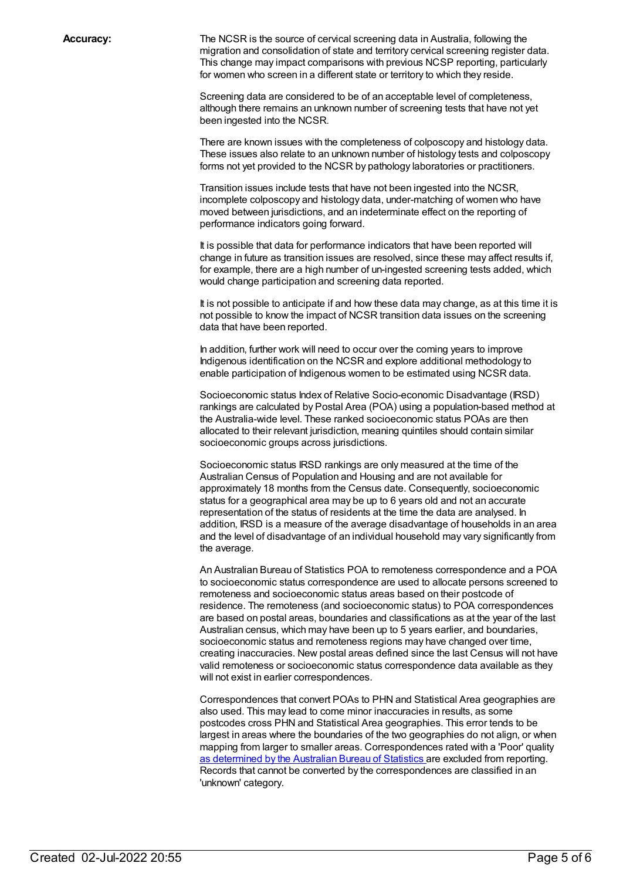**Accuracy:** The NCSR is the source of cervical screening data in Australia, following the migration and consolidation of state and territory cervical screening register data. This change may impact comparisons with previous NCSP reporting, particularly for women who screen in a different state or territory to which they reside.

> Screening data are considered to be of an acceptable level of completeness, although there remains an unknown number of screening tests that have not yet been ingested into the NCSR.

There are known issues with the completeness of colposcopy and histology data. These issues also relate to an unknown number of histology tests and colposcopy forms not yet provided to the NCSR by pathology laboratories or practitioners.

Transition issues include tests that have not been ingested into the NCSR, incomplete colposcopy and histology data, under-matching of women who have moved between jurisdictions, and an indeterminate effect on the reporting of performance indicators going forward.

It is possible that data for performance indicators that have been reported will change in future as transition issues are resolved, since these may affect results if, for example, there are a high number of un-ingested screening tests added, which would change participation and screening data reported.

It is not possible to anticipate if and how these data may change, as at this time it is not possible to know the impact of NCSR transition data issues on the screening data that have been reported.

In addition, further work will need to occur over the coming years to improve Indigenous identification on the NCSR and explore additional methodology to enable participation of Indigenous women to be estimated using NCSR data.

Socioeconomic status Index of Relative Socio-economic Disadvantage (IRSD) rankings are calculated by Postal Area (POA) using a population-based method at the Australia-wide level. These ranked socioeconomic status POAs are then allocated to their relevant jurisdiction, meaning quintiles should contain similar socioeconomic groups across jurisdictions.

Socioeconomic status IRSD rankings are only measured at the time of the Australian Census of Population and Housing and are not available for approximately 18 months from the Census date. Consequently, socioeconomic status for a geographical area may be up to 6 years old and not an accurate representation of the status of residents at the time the data are analysed. In addition, IRSD is a measure of the average disadvantage of households in an area and the level of disadvantage of an individual household may vary significantly from the average.

An Australian Bureau of Statistics POA to remoteness correspondence and a POA to socioeconomic status correspondence are used to allocate persons screened to remoteness and socioeconomic status areas based on their postcode of residence. The remoteness (and socioeconomic status) to POA correspondences are based on postal areas, boundaries and classifications as at the year of the last Australian census, which may have been up to 5 years earlier, and boundaries, socioeconomic status and remoteness regions may have changed over time, creating inaccuracies. New postal areas defined since the last Census will not have valid remoteness or socioeconomic status correspondence data available as they will not exist in earlier correspondences.

Correspondences that convert POAs to PHN and Statistical Area geographies are also used. This may lead to come minor inaccuracies in results, as some postcodes cross PHN and Statistical Area geographies. This error tends to be largest in areas where the boundaries of the two geographies do not align, or when mapping from larger to smaller areas. Correspondences rated with a 'Poor' quality as [determined](https://www.abs.gov.au/ausstats/abs@.nsf/Latestproducts/1216.0.55.004Main%20Features72012?opendocument&tabname=Summary&prodno=1216.0.55.004&issue=2012&num=&view=) by the Australian Bureau of Statistics are excluded from reporting. Records that cannot be converted by the correspondences are classified in an 'unknown' category.